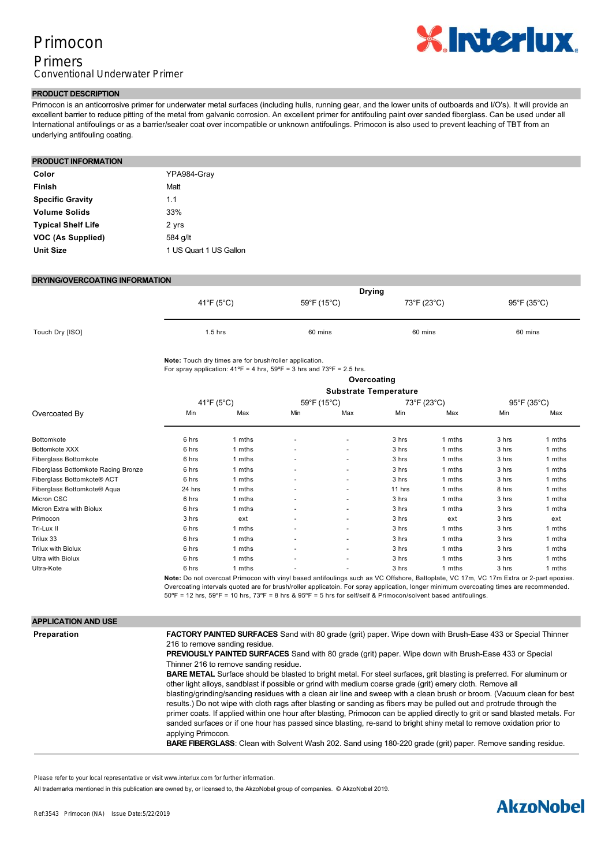# Primocon

# Primers Conventional Underwater Primer



## **PRODUCT DESCRIPTION**

Primocon is an anticorrosive primer for underwater metal surfaces (including hulls, running gear, and the lower units of outboards and I/O's). It will provide an excellent barrier to reduce pitting of the metal from galvanic corrosion. An excellent primer for antifouling paint over sanded fiberglass. Can be used under all International antifoulings or as a barrier/sealer coat over incompatible or unknown antifoulings. Primocon is also used to prevent leaching of TBT from an underlying antifouling coating.

### **PRODUCT INFORMATION**

| Color                     | YPA984-Grav            |
|---------------------------|------------------------|
| <b>Finish</b>             | Matt                   |
| <b>Specific Gravity</b>   | 11                     |
| <b>Volume Solids</b>      | 33%                    |
| <b>Typical Shelf Life</b> | 2 yrs                  |
| VOC (As Supplied)         | 584 g/lt               |
| <b>Unit Size</b>          | 1 US Quart 1 US Gallon |

#### **DRYING/OVERCOATING INFORMATION**

|                 | <b>Drying</b> |             |             |             |
|-----------------|---------------|-------------|-------------|-------------|
|                 | 41°F (5°C)    | 59°F (15°C) | 73°F (23°C) | 95°F (35°C) |
| Touch Dry [ISO] | $1.5$ hrs     | 60 mins     | 60 mins     | 60 mins     |

**Note:** Touch dry times are for brush/roller application.

For spray application:  $41^{\circ}F = 4$  hrs,  $59^{\circ}F = 3$  hrs and  $73^{\circ}F = 2.5$  hrs. **Overcoating**

#### **Substrate Temperature**

|                                     | Substrate Temperature |                                                                                                                                      |                          |                          |        |             |       |             |
|-------------------------------------|-----------------------|--------------------------------------------------------------------------------------------------------------------------------------|--------------------------|--------------------------|--------|-------------|-------|-------------|
|                                     | 41°F (5°C)            |                                                                                                                                      | 59°F (15°C)              |                          |        | 73°F (23°C) |       | 95°F (35°C) |
| Overcoated By                       | Min                   | Max                                                                                                                                  | Min                      | Max                      | Min    | Max         | Min   | Max         |
| Bottomkote                          | 6 hrs                 | 1 mths                                                                                                                               |                          | $\overline{\phantom{a}}$ | 3 hrs  | 1 mths      | 3 hrs | 1 mths      |
| Bottomkote XXX                      | 6 hrs                 | 1 mths                                                                                                                               | ٠                        | $\overline{\phantom{a}}$ | 3 hrs  | 1 mths      | 3 hrs | 1 mths      |
| <b>Fiberglass Bottomkote</b>        | 6 hrs                 | 1 mths                                                                                                                               | ٠                        | $\overline{\phantom{a}}$ | 3 hrs  | 1 mths      | 3 hrs | 1 mths      |
| Fiberglass Bottomkote Racing Bronze | 6 hrs                 | 1 mths                                                                                                                               | ٠                        | $\overline{\phantom{a}}$ | 3 hrs  | 1 mths      | 3 hrs | 1 mths      |
| Fiberglass Bottomkote® ACT          | 6 hrs                 | 1 mths                                                                                                                               | ٠                        | $\overline{\phantom{a}}$ | 3 hrs  | 1 mths      | 3 hrs | 1 mths      |
| Fiberglass Bottomkote® Aqua         | 24 hrs                | 1 mths                                                                                                                               | ٠                        | $\overline{\phantom{a}}$ | 11 hrs | 1 mths      | 8 hrs | 1 mths      |
| Micron CSC                          | 6 hrs                 | 1 mths                                                                                                                               | ٠                        | $\overline{\phantom{a}}$ | 3 hrs  | 1 mths      | 3 hrs | 1 mths      |
| Micron Extra with Biolux            | 6 hrs                 | 1 mths                                                                                                                               | $\overline{\phantom{a}}$ | $\overline{\phantom{a}}$ | 3 hrs  | 1 mths      | 3 hrs | 1 mths      |
| Primocon                            | 3 hrs                 | ext                                                                                                                                  | $\overline{\phantom{a}}$ | $\overline{\phantom{a}}$ | 3 hrs  | ext         | 3 hrs | ext         |
| Tri-Lux II                          | 6 hrs                 | 1 mths                                                                                                                               |                          | $\overline{\phantom{a}}$ | 3 hrs  | 1 mths      | 3 hrs | 1 mths      |
| Trilux 33                           | 6 hrs                 | 1 mths                                                                                                                               |                          | $\overline{\phantom{a}}$ | 3 hrs  | 1 mths      | 3 hrs | 1 mths      |
| Trilux with Biolux                  | 6 hrs                 | 1 mths                                                                                                                               |                          | $\overline{\phantom{a}}$ | 3 hrs  | 1 mths      | 3 hrs | 1 mths      |
| Ultra with Biolux                   | 6 hrs                 | 1 mths                                                                                                                               |                          | $\overline{\phantom{a}}$ | 3 hrs  | 1 mths      | 3 hrs | 1 mths      |
| Ultra-Kote                          | 6 hrs                 | 1 mths                                                                                                                               |                          |                          | 3 hrs  | 1 mths      | 3 hrs | 1 mths      |
|                                     |                       | Note: De not overseet Primeeon with vinyl booed ontifoulings such as VC Offshore, Poltoplate, VC 17m, VC 17m Extra er 2 part onexies |                          |                          |        |             |       |             |

**Note:** Do not overcoat Primocon with vinyl based antifoulings such as VC Offshore, Baltoplate, VC 17m, VC 17m Extra or 2-Overcoating intervals quoted are for brush/roller applicatoin. For spray application, longer minimum overcoating times are recommended.  $50^{\circ}$ F = 12 hrs,  $59^{\circ}$ F = 10 hrs,  $73^{\circ}$ F = 8 hrs &  $95^{\circ}$ F = 5 hrs for self/self & Primocon/solvent based antifoulings.

**BARE WOOD**: Sand with 80180 grit then 280 grade paper. Remove sanding residue. Apply one coat of Primocon thinned

| <b>APPLICATION AND USE</b> |                                                                                                                                                                                                                                                                                                                                                                                                                                                                                                                                                                                                                                                                                                                                                                                                                                                                                                                                                                                                                                                                                                                                                                                                              |
|----------------------------|--------------------------------------------------------------------------------------------------------------------------------------------------------------------------------------------------------------------------------------------------------------------------------------------------------------------------------------------------------------------------------------------------------------------------------------------------------------------------------------------------------------------------------------------------------------------------------------------------------------------------------------------------------------------------------------------------------------------------------------------------------------------------------------------------------------------------------------------------------------------------------------------------------------------------------------------------------------------------------------------------------------------------------------------------------------------------------------------------------------------------------------------------------------------------------------------------------------|
| Preparation                | <b>FACTORY PAINTED SURFACES</b> Sand with 80 grade (grit) paper. Wipe down with Brush-Ease 433 or Special Thinner<br>216 to remove sanding residue.<br><b>PREVIOUSLY PAINTED SURFACES</b> Sand with 80 grade (grit) paper. Wipe down with Brush-Ease 433 or Special<br>Thinner 216 to remove sanding residue.<br><b>BARE METAL</b> Surface should be blasted to bright metal. For steel surfaces, grit blasting is preferred. For aluminum or<br>other light alloys, sandblast if possible or grind with medium coarse grade (grit) emery cloth. Remove all<br>blasting/grinding/sanding residues with a clean air line and sweep with a clean brush or broom. (Vacuum clean for best<br>results.) Do not wipe with cloth rags after blasting or sanding as fibers may be pulled out and protrude through the<br>primer coats. If applied within one hour after blasting, Primocon can be applied directly to grit or sand blasted metals. For<br>sanded surfaces or if one hour has passed since blasting, re-sand to bright shiny metal to remove oxidation prior to<br>applying Primocon.<br>BARE FIBERGLASS: Clean with Solvent Wash 202. Sand using 180-220 grade (grit) paper. Remove sanding residue. |

Please refer to your local representative or visit www.interlux.com for further information.

All trademarks mentioned in this publication are owned by, or licensed to, the AkzoNobel group of companies. © AkzoNobel 2019.

# $1$  state thin  $1$  full coats, Steel $\beta$  full coats, Steel $\beta$  full coats, Steel $\beta$  , Steel $\beta$  are as of aluminium  $\beta$